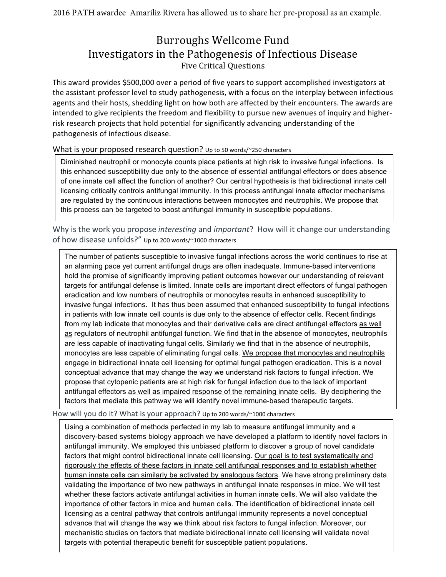## Burroughs Wellcome Fund Investigators in the Pathogenesis of Infectious Disease Five Critical Questions

This award provides \$500,000 over a period of five years to support accomplished investigators at the assistant professor level to study pathogenesis, with a focus on the interplay between infectious agents and their hosts, shedding light on how both are affected by their encounters. The awards are intended to give recipients the freedom and flexibility to pursue new avenues of inquiry and higherrisk research projects that hold potential for significantly advancing understanding of the pathogenesis of infectious disease.

What is your proposed research question? Up to 50 words/~250 characters

Diminished neutrophil or monocyte counts place patients at high risk to invasive fungal infections. Is this enhanced susceptibility due only to the absence of essential antifungal effectors or does absence of one innate cell affect the function of another? Our central hypothesis is that bidirectional innate cell licensing critically controls antifungal immunity. In this process antifungal innate effector mechanisms are regulated by the continuous interactions between monocytes and neutrophils. We propose that this process can be targeted to boost antifungal immunity in susceptible populations.

Why is the work you propose *interesting* and *important*? How will it change our understanding of how disease unfolds?" Up to 200 words/~1000 characters

The number of patients susceptible to invasive fungal infections across the world continues to rise at an alarming pace yet current antifungal drugs are often inadequate. Immune-based interventions hold the promise of significantly improving patient outcomes however our understanding of relevant targets for antifungal defense is limited. Innate cells are important direct effectors of fungal pathogen eradication and low numbers of neutrophils or monocytes results in enhanced susceptibility to invasive fungal infections. It has thus been assumed that enhanced susceptibility to fungal infections in patients with low innate cell counts is due only to the absence of effector cells. Recent findings from my lab indicate that monocytes and their derivative cells are direct antifungal effectors as well as regulators of neutrophil antifungal function. We find that in the absence of monocytes, neutrophils are less capable of inactivating fungal cells. Similarly we find that in the absence of neutrophils, monocytes are less capable of eliminating fungal cells. We propose that monocytes and neutrophils engage in bidirectional innate cell licensing for optimal fungal pathogen eradication. This is a novel conceptual advance that may change the way we understand risk factors to fungal infection. We propose that cytopenic patients are at high risk for fungal infection due to the lack of important antifungal effectors as well as impaired response of the remaining innate cells. By deciphering the factors that mediate this pathway we will identify novel immune-based therapeutic targets.

How will you do it? What is your approach? Up to 200 words/~1000 characters

Using a combination of methods perfected in my lab to measure antifungal immunity and a discovery-based systems biology approach we have developed a platform to identify novel factors in antifungal immunity. We employed this unbiased platform to discover a group of novel candidate factors that might control bidirectional innate cell licensing. Our goal is to test systematically and rigorously the effects of these factors in innate cell antifungal responses and to establish whether human innate cells can similarly be activated by analogous factors. We have strong preliminary data validating the importance of two new pathways in antifungal innate responses in mice. We will test whether these factors activate antifungal activities in human innate cells. We will also validate the importance of other factors in mice and human cells. The identification of bidirectional innate cell licensing as a central pathway that controls antifungal immunity represents a novel conceptual advance that will change the way we think about risk factors to fungal infection. Moreover, our mechanistic studies on factors that mediate bidirectional innate cell licensing will validate novel targets with potential therapeutic benefit for susceptible patient populations.